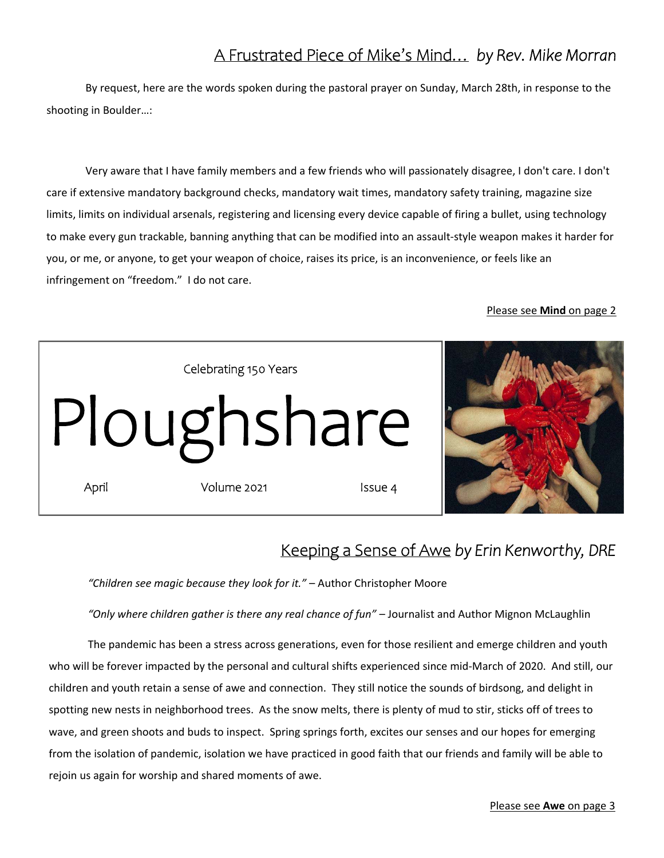### A Frustrated Piece of Mike's Mind… *by Rev. Mike Morran*

By request, here are the words spoken during the pastoral prayer on Sunday, March 28th, in response to the shooting in Boulder…:

Very aware that I have family members and a few friends who will passionately disagree, I don't care. I don't care if extensive mandatory background checks, mandatory wait times, mandatory safety training, magazine size limits, limits on individual arsenals, registering and licensing every device capable of firing a bullet, using technology to make every gun trackable, banning anything that can be modified into an assault‐style weapon makes it harder for you, or me, or anyone, to get your weapon of choice, raises its price, is an inconvenience, or feels like an infringement on "freedom." I do not care.

#### Please see **Mind** on page 2



### Keeping a Sense of Awe *by Erin Kenworthy, DRE*

*"Children see magic because they look for it."* – Author Christopher Moore

*"Only where children gather is there any real chance of fun"* – Journalist and Author Mignon McLaughlin

The pandemic has been a stress across generations, even for those resilient and emerge children and youth who will be forever impacted by the personal and cultural shifts experienced since mid-March of 2020. And still, our children and youth retain a sense of awe and connection. They still notice the sounds of birdsong, and delight in spotting new nests in neighborhood trees. As the snow melts, there is plenty of mud to stir, sticks off of trees to wave, and green shoots and buds to inspect. Spring springs forth, excites our senses and our hopes for emerging from the isolation of pandemic, isolation we have practiced in good faith that our friends and family will be able to rejoin us again for worship and shared moments of awe.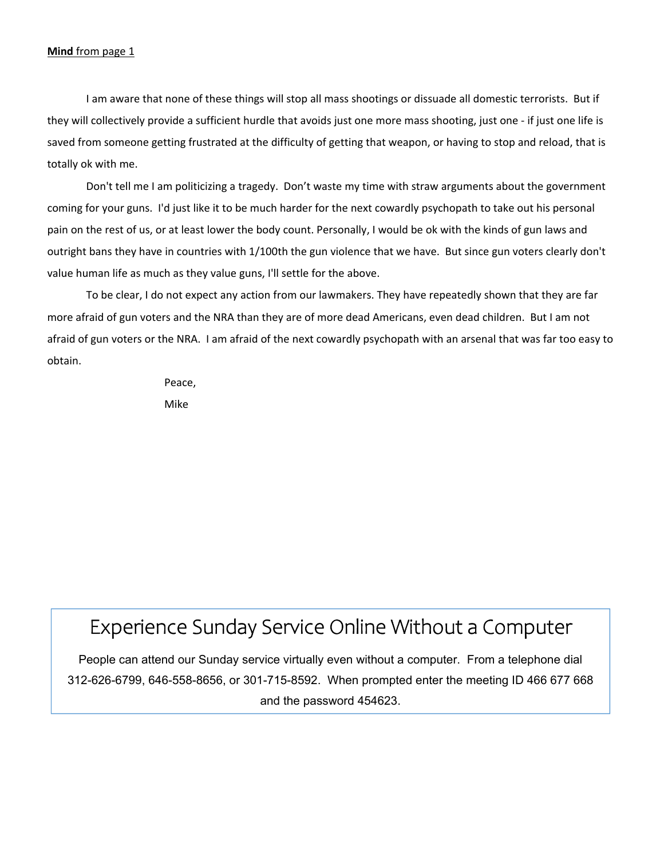#### **Mind** from page 1

I am aware that none of these things will stop all mass shootings or dissuade all domestic terrorists. But if they will collectively provide a sufficient hurdle that avoids just one more mass shooting, just one ‐ if just one life is saved from someone getting frustrated at the difficulty of getting that weapon, or having to stop and reload, that is totally ok with me.

Don't tell me I am politicizing a tragedy. Don't waste my time with straw arguments about the government coming for your guns. I'd just like it to be much harder for the next cowardly psychopath to take out his personal pain on the rest of us, or at least lower the body count. Personally, I would be ok with the kinds of gun laws and outright bans they have in countries with 1/100th the gun violence that we have. But since gun voters clearly don't value human life as much as they value guns, I'll settle for the above.

To be clear, I do not expect any action from our lawmakers. They have repeatedly shown that they are far more afraid of gun voters and the NRA than they are of more dead Americans, even dead children. But I am not afraid of gun voters or the NRA. I am afraid of the next cowardly psychopath with an arsenal that was far too easy to obtain.

Peace,

Mike

# Experience Sunday Service Online Without a Computer

People can attend our Sunday service virtually even without a computer. From a telephone dial 312-626-6799, 646-558-8656, or 301-715-8592. When prompted enter the meeting ID 466 677 668 and the password 454623.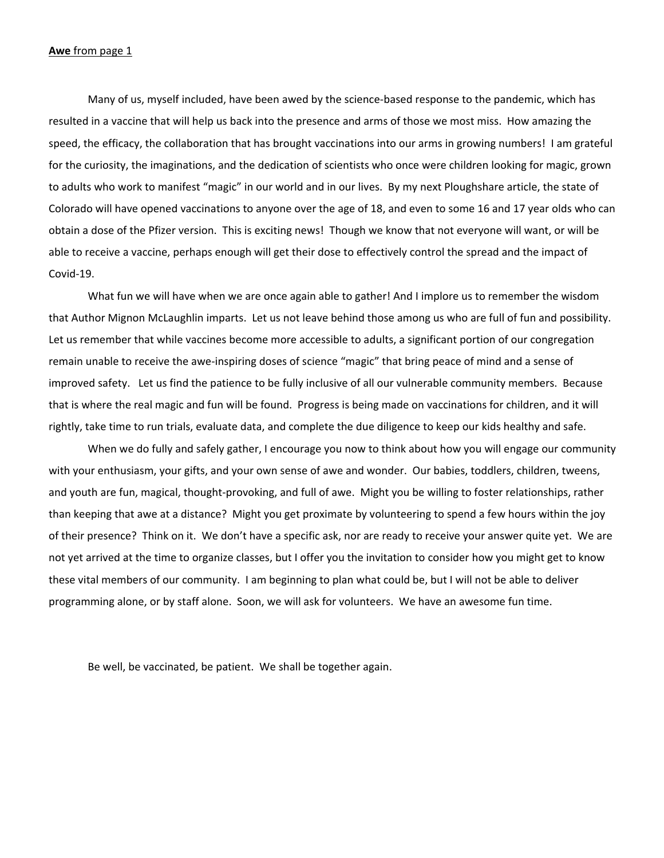#### **Awe** from page 1

Many of us, myself included, have been awed by the science‐based response to the pandemic, which has resulted in a vaccine that will help us back into the presence and arms of those we most miss. How amazing the speed, the efficacy, the collaboration that has brought vaccinations into our arms in growing numbers! I am grateful for the curiosity, the imaginations, and the dedication of scientists who once were children looking for magic, grown to adults who work to manifest "magic" in our world and in our lives. By my next Ploughshare article, the state of Colorado will have opened vaccinations to anyone over the age of 18, and even to some 16 and 17 year olds who can obtain a dose of the Pfizer version. This is exciting news! Though we know that not everyone will want, or will be able to receive a vaccine, perhaps enough will get their dose to effectively control the spread and the impact of Covid‐19.

What fun we will have when we are once again able to gather! And I implore us to remember the wisdom that Author Mignon McLaughlin imparts. Let us not leave behind those among us who are full of fun and possibility. Let us remember that while vaccines become more accessible to adults, a significant portion of our congregation remain unable to receive the awe‐inspiring doses of science "magic" that bring peace of mind and a sense of improved safety. Let us find the patience to be fully inclusive of all our vulnerable community members. Because that is where the real magic and fun will be found. Progress is being made on vaccinations for children, and it will rightly, take time to run trials, evaluate data, and complete the due diligence to keep our kids healthy and safe.

When we do fully and safely gather, I encourage you now to think about how you will engage our community with your enthusiasm, your gifts, and your own sense of awe and wonder. Our babies, toddlers, children, tweens, and youth are fun, magical, thought‐provoking, and full of awe. Might you be willing to foster relationships, rather than keeping that awe at a distance? Might you get proximate by volunteering to spend a few hours within the joy of their presence? Think on it. We don't have a specific ask, nor are ready to receive your answer quite yet. We are not yet arrived at the time to organize classes, but I offer you the invitation to consider how you might get to know these vital members of our community. I am beginning to plan what could be, but I will not be able to deliver programming alone, or by staff alone. Soon, we will ask for volunteers. We have an awesome fun time.

Be well, be vaccinated, be patient. We shall be together again.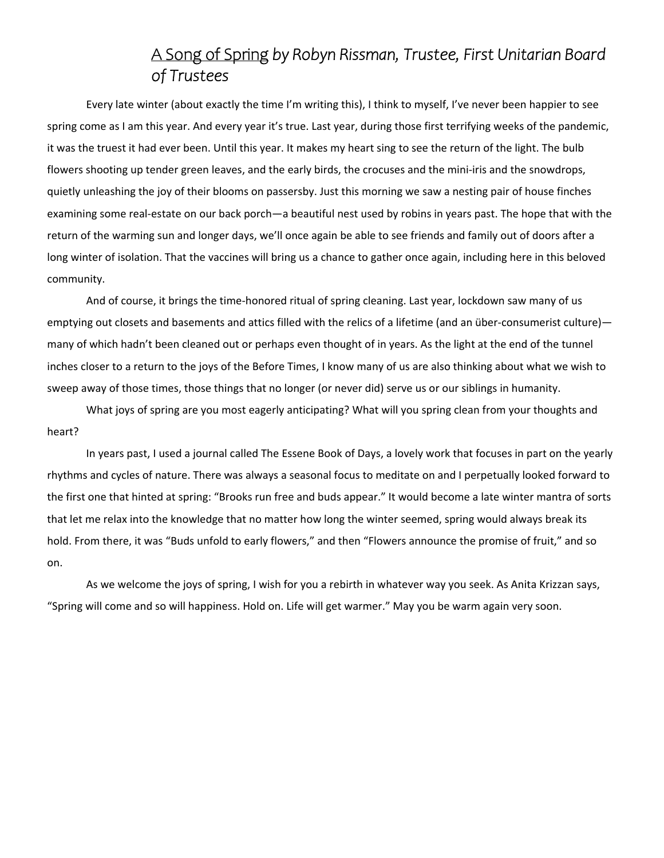### A Song of Spring *by Robyn Rissman, Trustee, First Unitarian Board of Trustees*

Every late winter (about exactly the time I'm writing this), I think to myself, I've never been happier to see spring come as I am this year. And every year it's true. Last year, during those first terrifying weeks of the pandemic, it was the truest it had ever been. Until this year. It makes my heart sing to see the return of the light. The bulb flowers shooting up tender green leaves, and the early birds, the crocuses and the mini-iris and the snowdrops, quietly unleashing the joy of their blooms on passersby. Just this morning we saw a nesting pair of house finches examining some real-estate on our back porch—a beautiful nest used by robins in years past. The hope that with the return of the warming sun and longer days, we'll once again be able to see friends and family out of doors after a long winter of isolation. That the vaccines will bring us a chance to gather once again, including here in this beloved community.

And of course, it brings the time‐honored ritual of spring cleaning. Last year, lockdown saw many of us emptying out closets and basements and attics filled with the relics of a lifetime (and an über-consumerist culture) many of which hadn't been cleaned out or perhaps even thought of in years. As the light at the end of the tunnel inches closer to a return to the joys of the Before Times, I know many of us are also thinking about what we wish to sweep away of those times, those things that no longer (or never did) serve us or our siblings in humanity.

What joys of spring are you most eagerly anticipating? What will you spring clean from your thoughts and heart?

In years past, I used a journal called The Essene Book of Days, a lovely work that focuses in part on the yearly rhythms and cycles of nature. There was always a seasonal focus to meditate on and I perpetually looked forward to the first one that hinted at spring: "Brooks run free and buds appear." It would become a late winter mantra of sorts that let me relax into the knowledge that no matter how long the winter seemed, spring would always break its hold. From there, it was "Buds unfold to early flowers," and then "Flowers announce the promise of fruit," and so on.

As we welcome the joys of spring, I wish for you a rebirth in whatever way you seek. As Anita Krizzan says, "Spring will come and so will happiness. Hold on. Life will get warmer." May you be warm again very soon.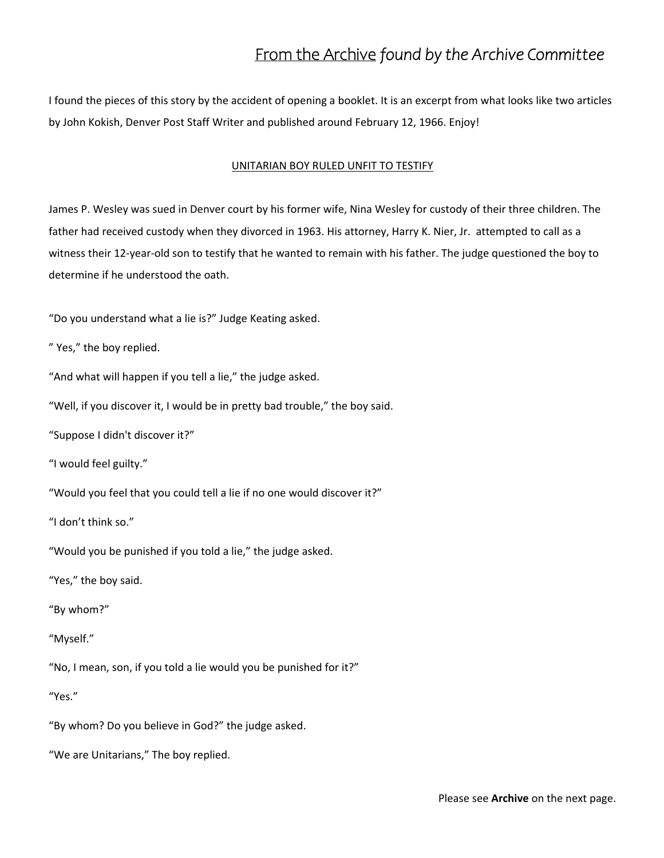### From the Archive *found by the Archive Committee*

I found the pieces of this story by the accident of opening a booklet. It is an excerpt from what looks like two articles by John Kokish, Denver Post Staff Writer and published around February 12, 1966. Enjoy!

#### UNITARIAN BOY RULED UNFIT TO TESTIFY

James P. Wesley was sued in Denver court by his former wife, Nina Wesley for custody of their three children. The father had received custody when they divorced in 1963. His attorney, Harry K. Nier, Jr. attempted to call as a witness their 12-year-old son to testify that he wanted to remain with his father. The judge questioned the boy to determine if he understood the oath.

"Do you understand what a lie is?" Judge Keating asked.

" Yes," the boy replied.

"And what will happen if you tell a lie," the judge asked.

"Well, if you discover it, I would be in pretty bad trouble," the boy said.

"Suppose I didn't discover it?"

"I would feel guilty."

"Would you feel that you could tell a lie if no one would discover it?"

"I don't think so."

"Would you be punished if you told a lie," the judge asked.

"Yes," the boy said.

"By whom?"

"Myself."

"No, I mean, son, if you told a lie would you be punished for it?"

"Yes."

"By whom? Do you believe in God?" the judge asked.

"We are Unitarians," The boy replied.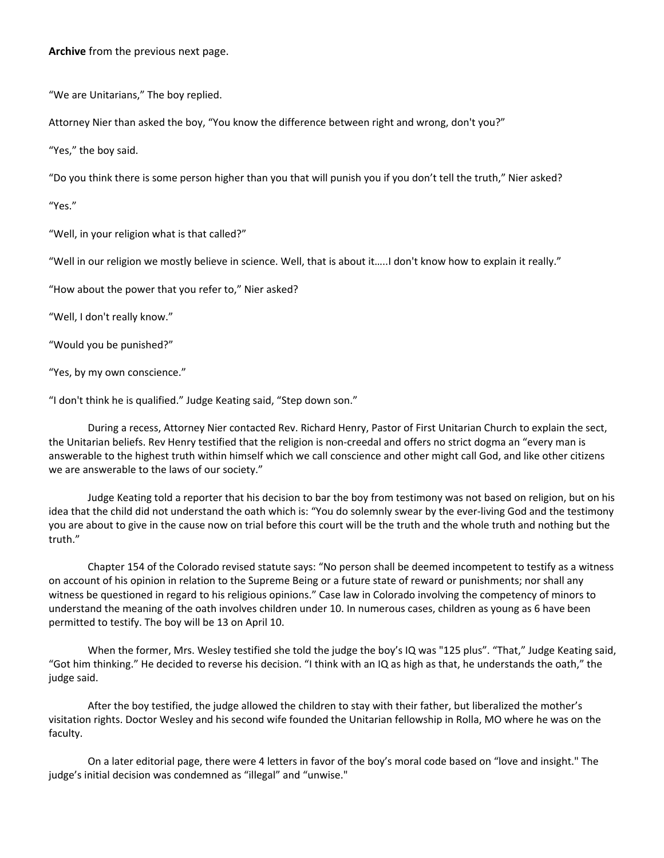#### **Archive** from the previous next page.

"We are Unitarians," The boy replied.

Attorney Nier than asked the boy, "You know the difference between right and wrong, don't you?"

"Yes," the boy said.

"Do you think there is some person higher than you that will punish you if you don't tell the truth," Nier asked?

"Yes."

"Well, in your religion what is that called?"

"Well in our religion we mostly believe in science. Well, that is about it…..I don't know how to explain it really."

"How about the power that you refer to," Nier asked?

"Well, I don't really know."

"Would you be punished?"

"Yes, by my own conscience."

"I don't think he is qualified." Judge Keating said, "Step down son."

During a recess, Attorney Nier contacted Rev. Richard Henry, Pastor of First Unitarian Church to explain the sect, the Unitarian beliefs. Rev Henry testified that the religion is non‐creedal and offers no strict dogma an "every man is answerable to the highest truth within himself which we call conscience and other might call God, and like other citizens we are answerable to the laws of our society."

Judge Keating told a reporter that his decision to bar the boy from testimony was not based on religion, but on his idea that the child did not understand the oath which is: "You do solemnly swear by the ever‐living God and the testimony you are about to give in the cause now on trial before this court will be the truth and the whole truth and nothing but the truth."

Chapter 154 of the Colorado revised statute says: "No person shall be deemed incompetent to testify as a witness on account of his opinion in relation to the Supreme Being or a future state of reward or punishments; nor shall any witness be questioned in regard to his religious opinions." Case law in Colorado involving the competency of minors to understand the meaning of the oath involves children under 10. In numerous cases, children as young as 6 have been permitted to testify. The boy will be 13 on April 10.

When the former, Mrs. Wesley testified she told the judge the boy's IQ was "125 plus". "That," Judge Keating said, "Got him thinking." He decided to reverse his decision. "I think with an IQ as high as that, he understands the oath," the judge said.

After the boy testified, the judge allowed the children to stay with their father, but liberalized the mother's visitation rights. Doctor Wesley and his second wife founded the Unitarian fellowship in Rolla, MO where he was on the faculty.

 On a later editorial page, there were 4 letters in favor of the boy's moral code based on "love and insight." The judge's initial decision was condemned as "illegal" and "unwise."